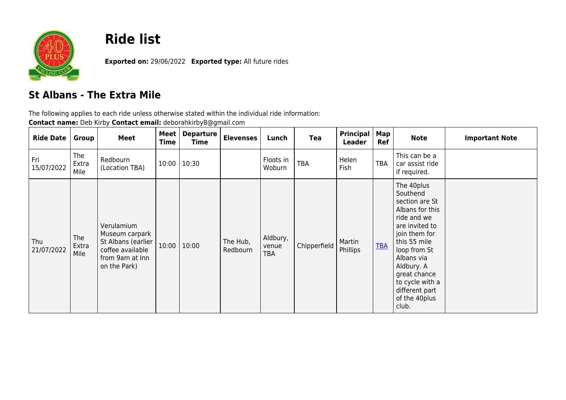

## **Ride list**

**Exported on:** 29/06/2022 **Exported type:** All future rides

## **St Albans - The Extra Mile**

The following applies to each ride unless otherwise stated within the individual ride information:

| Contact name: Deb Kirby Contact email: deborahkirby8@gmail.com |  |
|----------------------------------------------------------------|--|
|----------------------------------------------------------------|--|

| <b>Ride Date</b>  | Group                | <b>Meet</b>                                                                                               | Meet  <br>Time | <b>Departure</b><br>Time | <b>Elevenses</b>     | Lunch                           | Tea          | Principal<br><b>Leader</b> | Map<br>Ref | <b>Note</b>                                                                                                                                                                                                                                              | <b>Important Note</b> |
|-------------------|----------------------|-----------------------------------------------------------------------------------------------------------|----------------|--------------------------|----------------------|---------------------------------|--------------|----------------------------|------------|----------------------------------------------------------------------------------------------------------------------------------------------------------------------------------------------------------------------------------------------------------|-----------------------|
| Fri<br>15/07/2022 | The<br>Extra<br>Mile | Redbourn<br>(Location TBA)                                                                                | 10:00          | 10:30                    |                      | Floots in<br>Woburn             | <b>TBA</b>   | Helen<br>Fish              | TBA        | This can be a<br>car assist ride<br>if required.                                                                                                                                                                                                         |                       |
| Thu<br>21/07/2022 | The<br>Extra<br>Mile | Verulamium<br>Museum carpark<br>St Albans (earlier<br>coffee available<br>from 9am at Inn<br>on the Park) | 10:00          | 10:00                    | The Hub,<br>Redbourn | Aldbury,<br>venue<br><b>TBA</b> | Chipperfield | Martin<br>Phillips         | <b>TBA</b> | The 40plus<br>Southend<br>section are St<br>Albans for this<br>ride and we<br>are invited to<br>join them for<br>this 55 mile<br>loop from St<br>Albans via<br>Aldbury. A<br>great chance<br>to cycle with a<br>different part<br>of the 40plus<br>club. |                       |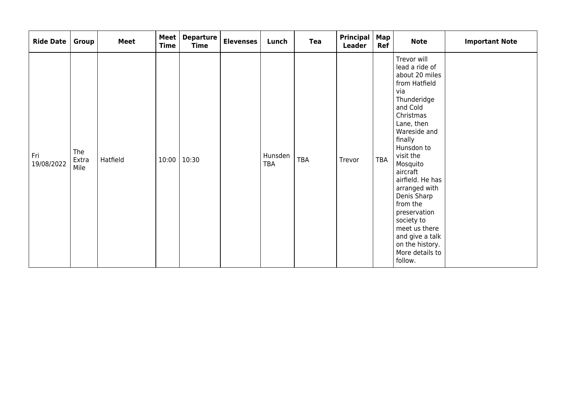| <b>Ride Date</b>  | Group                | <b>Meet</b> | <b>Meet</b><br><b>Time</b> | <b>Departure</b><br><b>Time</b> | <b>Elevenses</b> | Lunch          | Tea | <b>Principal</b><br>Leader | Map  <br>Ref | <b>Note</b>                                                                                                                                                                                                                                                                                                                                                                                    | <b>Important Note</b> |
|-------------------|----------------------|-------------|----------------------------|---------------------------------|------------------|----------------|-----|----------------------------|--------------|------------------------------------------------------------------------------------------------------------------------------------------------------------------------------------------------------------------------------------------------------------------------------------------------------------------------------------------------------------------------------------------------|-----------------------|
| Fri<br>19/08/2022 | The<br>Extra<br>Mile | Hatfield    | 10:00                      | 10:30                           |                  | Hunsden<br>TBA | TBA | Trevor                     | TBA          | Trevor will<br>lead a ride of<br>about 20 miles<br>from Hatfield<br>via<br>Thunderidge<br>and Cold<br>Christmas<br>Lane, then<br>Wareside and<br>finally<br>Hunsdon to<br>visit the<br>Mosquito<br>aircraft<br>airfield. He has<br>arranged with<br>Denis Sharp<br>from the<br>preservation<br>society to<br>meet us there<br>and give a talk<br>on the history.<br>More details to<br>follow. |                       |